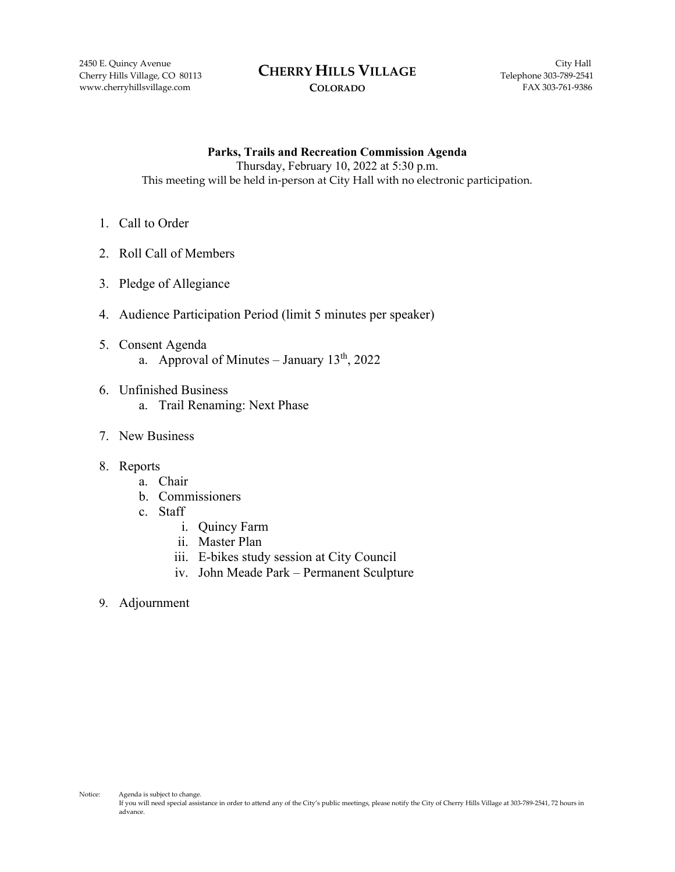www.cherryhillsvillage.com **FAX 303-761-9386** COLORADO

#### 2450 E. Quincy Avenue City Hall **CHERRY HILLS VILLAGE** Cherry Hills Village, CO 80113 **CHEKKY HILLS VILLAGE** Telephone 303-789-2541

### **COLORADO**

**Parks, Trails and Recreation Commission Agenda** Thursday, February 10, 2022 at 5:30 p.m. This meeting will be held in-person at City Hall with no electronic participation.

- 1. Call to Order
- 2. Roll Call of Members
- 3. Pledge of Allegiance
- 4. Audience Participation Period (limit 5 minutes per speaker)
- 5. Consent Agenda a. Approval of Minutes – January  $13<sup>th</sup>$ , 2022
- 6. Unfinished Business
	- a. Trail Renaming: Next Phase
- 7. New Business
- 8. Reports
	- a. Chair
	- b. Commissioners
	- c. Staff
		- i. Quincy Farm
		- ii. Master Plan
		- iii. E-bikes study session at City Council
		- iv. John Meade Park Permanent Sculpture
- 9. Adjournment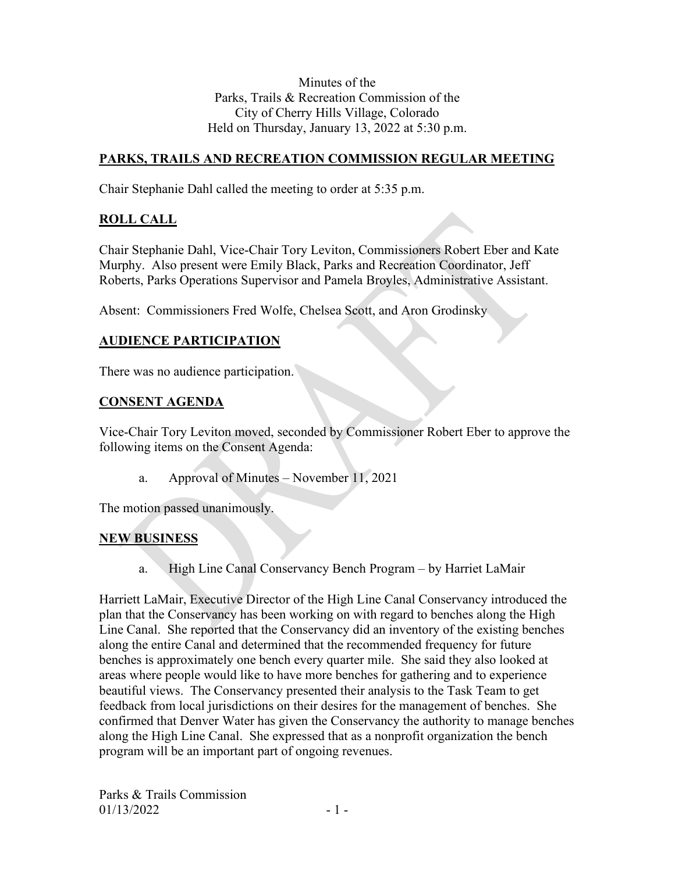Minutes of the Parks, Trails & Recreation Commission of the City of Cherry Hills Village, Colorado Held on Thursday, January 13, 2022 at 5:30 p.m.

## **PARKS, TRAILS AND RECREATION COMMISSION REGULAR MEETING**

Chair Stephanie Dahl called the meeting to order at 5:35 p.m.

## **ROLL CALL**

Chair Stephanie Dahl, Vice-Chair Tory Leviton, Commissioners Robert Eber and Kate Murphy. Also present were Emily Black, Parks and Recreation Coordinator, Jeff Roberts, Parks Operations Supervisor and Pamela Broyles, Administrative Assistant.

Absent: Commissioners Fred Wolfe, Chelsea Scott, and Aron Grodinsky

## **AUDIENCE PARTICIPATION**

There was no audience participation.

## **CONSENT AGENDA**

Vice-Chair Tory Leviton moved, seconded by Commissioner Robert Eber to approve the following items on the Consent Agenda:

a. Approval of Minutes – November 11, 2021

The motion passed unanimously.

## **NEW BUSINESS**

a. High Line Canal Conservancy Bench Program – by Harriet LaMair

Harriett LaMair, Executive Director of the High Line Canal Conservancy introduced the plan that the Conservancy has been working on with regard to benches along the High Line Canal. She reported that the Conservancy did an inventory of the existing benches along the entire Canal and determined that the recommended frequency for future benches is approximately one bench every quarter mile. She said they also looked at areas where people would like to have more benches for gathering and to experience beautiful views. The Conservancy presented their analysis to the Task Team to get feedback from local jurisdictions on their desires for the management of benches. She confirmed that Denver Water has given the Conservancy the authority to manage benches along the High Line Canal. She expressed that as a nonprofit organization the bench program will be an important part of ongoing revenues.

Parks & Trails Commission  $01/13/2022$  - 1 -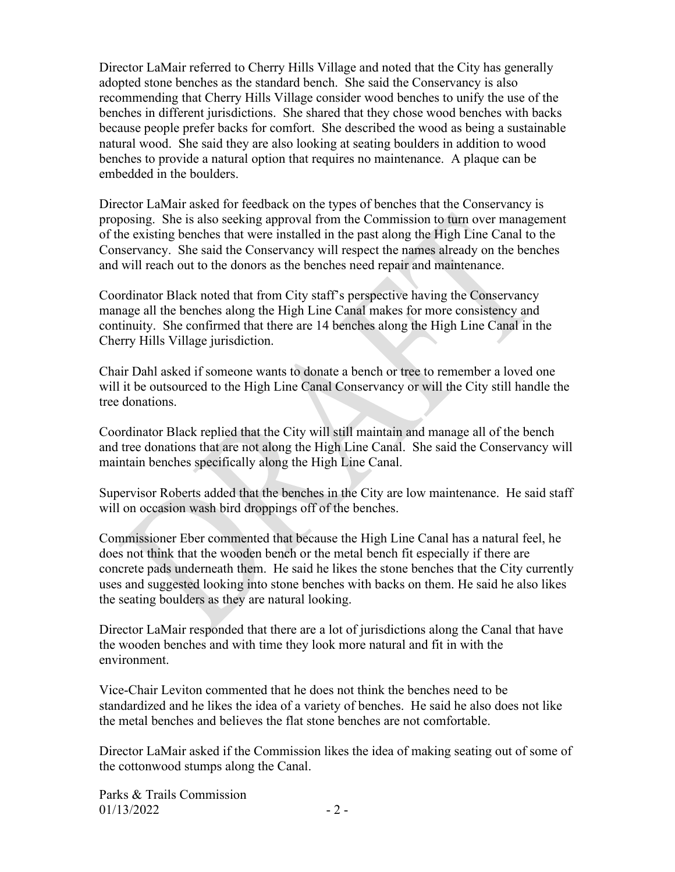Director LaMair referred to Cherry Hills Village and noted that the City has generally adopted stone benches as the standard bench. She said the Conservancy is also recommending that Cherry Hills Village consider wood benches to unify the use of the benches in different jurisdictions. She shared that they chose wood benches with backs because people prefer backs for comfort. She described the wood as being a sustainable natural wood. She said they are also looking at seating boulders in addition to wood benches to provide a natural option that requires no maintenance. A plaque can be embedded in the boulders.

Director LaMair asked for feedback on the types of benches that the Conservancy is proposing. She is also seeking approval from the Commission to turn over management of the existing benches that were installed in the past along the High Line Canal to the Conservancy. She said the Conservancy will respect the names already on the benches and will reach out to the donors as the benches need repair and maintenance.

Coordinator Black noted that from City staff's perspective having the Conservancy manage all the benches along the High Line Canal makes for more consistency and continuity. She confirmed that there are 14 benches along the High Line Canal in the Cherry Hills Village jurisdiction.

Chair Dahl asked if someone wants to donate a bench or tree to remember a loved one will it be outsourced to the High Line Canal Conservancy or will the City still handle the tree donations.

Coordinator Black replied that the City will still maintain and manage all of the bench and tree donations that are not along the High Line Canal. She said the Conservancy will maintain benches specifically along the High Line Canal.

Supervisor Roberts added that the benches in the City are low maintenance. He said staff will on occasion wash bird droppings off of the benches.

Commissioner Eber commented that because the High Line Canal has a natural feel, he does not think that the wooden bench or the metal bench fit especially if there are concrete pads underneath them. He said he likes the stone benches that the City currently uses and suggested looking into stone benches with backs on them. He said he also likes the seating boulders as they are natural looking.

Director LaMair responded that there are a lot of jurisdictions along the Canal that have the wooden benches and with time they look more natural and fit in with the environment.

Vice-Chair Leviton commented that he does not think the benches need to be standardized and he likes the idea of a variety of benches. He said he also does not like the metal benches and believes the flat stone benches are not comfortable.

Director LaMair asked if the Commission likes the idea of making seating out of some of the cottonwood stumps along the Canal.

Parks & Trails Commission  $01/13/2022$  - 2 -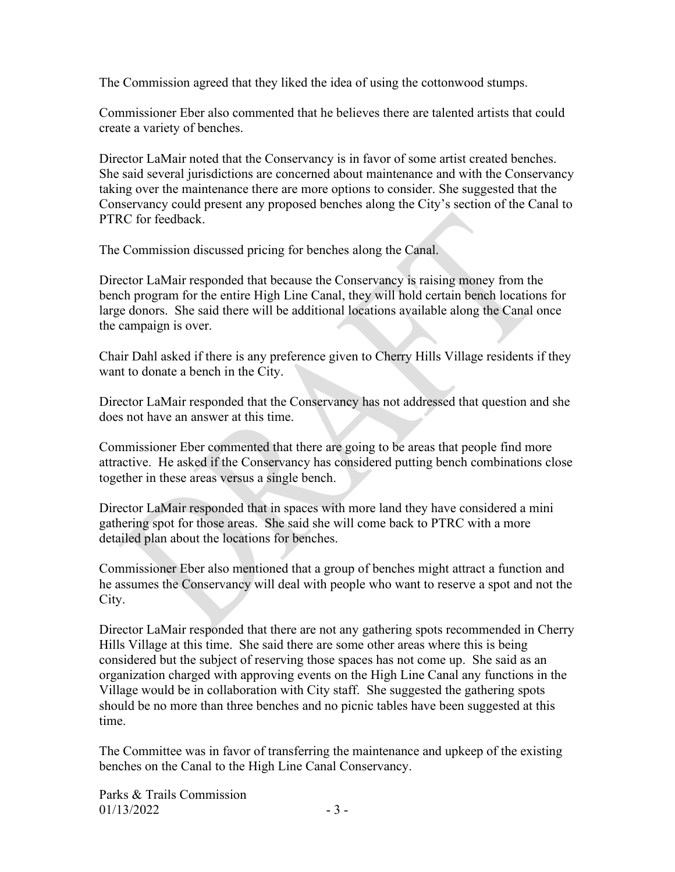The Commission agreed that they liked the idea of using the cottonwood stumps.

Commissioner Eber also commented that he believes there are talented artists that could create a variety of benches.

Director LaMair noted that the Conservancy is in favor of some artist created benches. She said several jurisdictions are concerned about maintenance and with the Conservancy taking over the maintenance there are more options to consider. She suggested that the Conservancy could present any proposed benches along the City's section of the Canal to PTRC for feedback.

The Commission discussed pricing for benches along the Canal.

Director LaMair responded that because the Conservancy is raising money from the bench program for the entire High Line Canal, they will hold certain bench locations for large donors. She said there will be additional locations available along the Canal once the campaign is over.

Chair Dahl asked if there is any preference given to Cherry Hills Village residents if they want to donate a bench in the City.

Director LaMair responded that the Conservancy has not addressed that question and she does not have an answer at this time.

Commissioner Eber commented that there are going to be areas that people find more attractive. He asked if the Conservancy has considered putting bench combinations close together in these areas versus a single bench.

Director LaMair responded that in spaces with more land they have considered a mini gathering spot for those areas. She said she will come back to PTRC with a more detailed plan about the locations for benches.

Commissioner Eber also mentioned that a group of benches might attract a function and he assumes the Conservancy will deal with people who want to reserve a spot and not the City.

Director LaMair responded that there are not any gathering spots recommended in Cherry Hills Village at this time. She said there are some other areas where this is being considered but the subject of reserving those spaces has not come up. She said as an organization charged with approving events on the High Line Canal any functions in the Village would be in collaboration with City staff. She suggested the gathering spots should be no more than three benches and no picnic tables have been suggested at this time.

The Committee was in favor of transferring the maintenance and upkeep of the existing benches on the Canal to the High Line Canal Conservancy.

Parks & Trails Commission  $01/13/2022$  - 3 -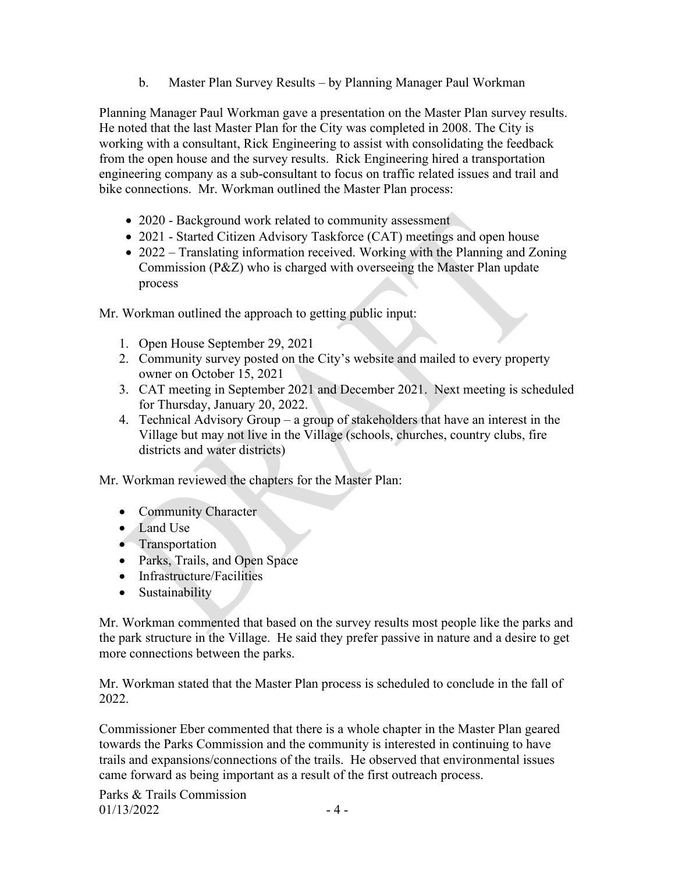b. Master Plan Survey Results – by Planning Manager Paul Workman

Planning Manager Paul Workman gave a presentation on the Master Plan survey results. He noted that the last Master Plan for the City was completed in 2008. The City is working with a consultant, Rick Engineering to assist with consolidating the feedback from the open house and the survey results. Rick Engineering hired a transportation engineering company as a sub-consultant to focus on traffic related issues and trail and bike connections. Mr. Workman outlined the Master Plan process:

- 2020 Background work related to community assessment
- 2021 Started Citizen Advisory Taskforce (CAT) meetings and open house
- 2022 Translating information received. Working with the Planning and Zoning Commission (P&Z) who is charged with overseeing the Master Plan update process

Mr. Workman outlined the approach to getting public input:

- 1. Open House September 29, 2021
- 2. Community survey posted on the City's website and mailed to every property owner on October 15, 2021
- 3. CAT meeting in September 2021 and December 2021. Next meeting is scheduled for Thursday, January 20, 2022.
- 4. Technical Advisory Group a group of stakeholders that have an interest in the Village but may not live in the Village (schools, churches, country clubs, fire districts and water districts)

Mr. Workman reviewed the chapters for the Master Plan:

- Community Character
- Land Use
- Transportation
- Parks, Trails, and Open Space
- Infrastructure/Facilities
- Sustainability

Mr. Workman commented that based on the survey results most people like the parks and the park structure in the Village. He said they prefer passive in nature and a desire to get more connections between the parks.

Mr. Workman stated that the Master Plan process is scheduled to conclude in the fall of 2022.

Commissioner Eber commented that there is a whole chapter in the Master Plan geared towards the Parks Commission and the community is interested in continuing to have trails and expansions/connections of the trails. He observed that environmental issues came forward as being important as a result of the first outreach process.

Parks & Trails Commission  $01/13/2022$  - 4 -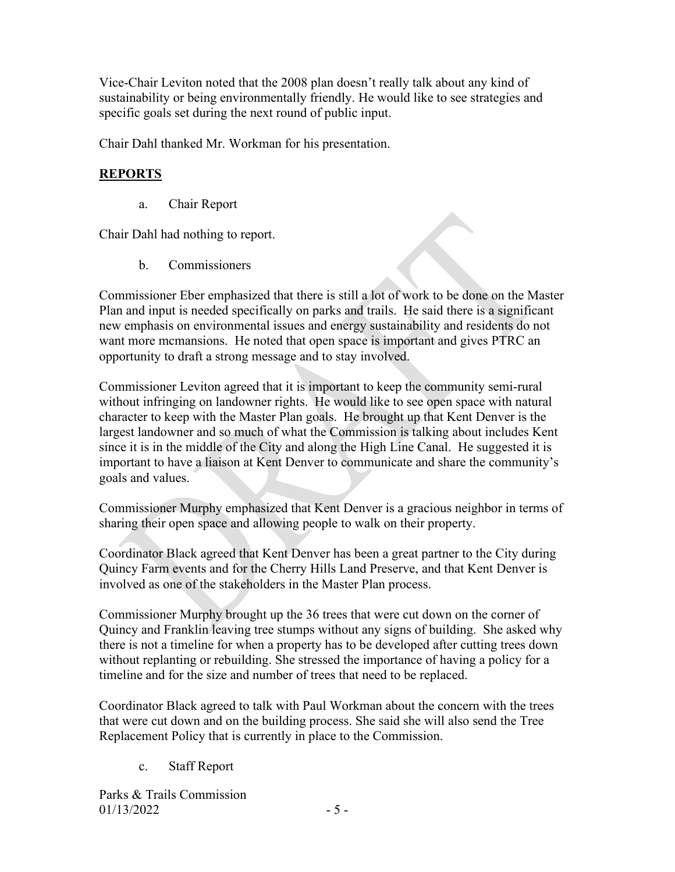Vice-Chair Leviton noted that the 2008 plan doesn't really talk about any kind of sustainability or being environmentally friendly. He would like to see strategies and specific goals set during the next round of public input.

Chair Dahl thanked Mr. Workman for his presentation.

## **REPORTS**

a. Chair Report

Chair Dahl had nothing to report.

b. Commissioners

Commissioner Eber emphasized that there is still a lot of work to be done on the Master Plan and input is needed specifically on parks and trails. He said there is a significant new emphasis on environmental issues and energy sustainability and residents do not want more mcmansions. He noted that open space is important and gives PTRC an opportunity to draft a strong message and to stay involved.

Commissioner Leviton agreed that it is important to keep the community semi-rural without infringing on landowner rights. He would like to see open space with natural character to keep with the Master Plan goals. He brought up that Kent Denver is the largest landowner and so much of what the Commission is talking about includes Kent since it is in the middle of the City and along the High Line Canal. He suggested it is important to have a liaison at Kent Denver to communicate and share the community's goals and values.

Commissioner Murphy emphasized that Kent Denver is a gracious neighbor in terms of sharing their open space and allowing people to walk on their property.

Coordinator Black agreed that Kent Denver has been a great partner to the City during Quincy Farm events and for the Cherry Hills Land Preserve, and that Kent Denver is involved as one of the stakeholders in the Master Plan process.

Commissioner Murphy brought up the 36 trees that were cut down on the corner of Quincy and Franklin leaving tree stumps without any signs of building. She asked why there is not a timeline for when a property has to be developed after cutting trees down without replanting or rebuilding. She stressed the importance of having a policy for a timeline and for the size and number of trees that need to be replaced.

Coordinator Black agreed to talk with Paul Workman about the concern with the trees that were cut down and on the building process. She said she will also send the Tree Replacement Policy that is currently in place to the Commission.

c. Staff Report

Parks & Trails Commission  $01/13/2022$  - 5 -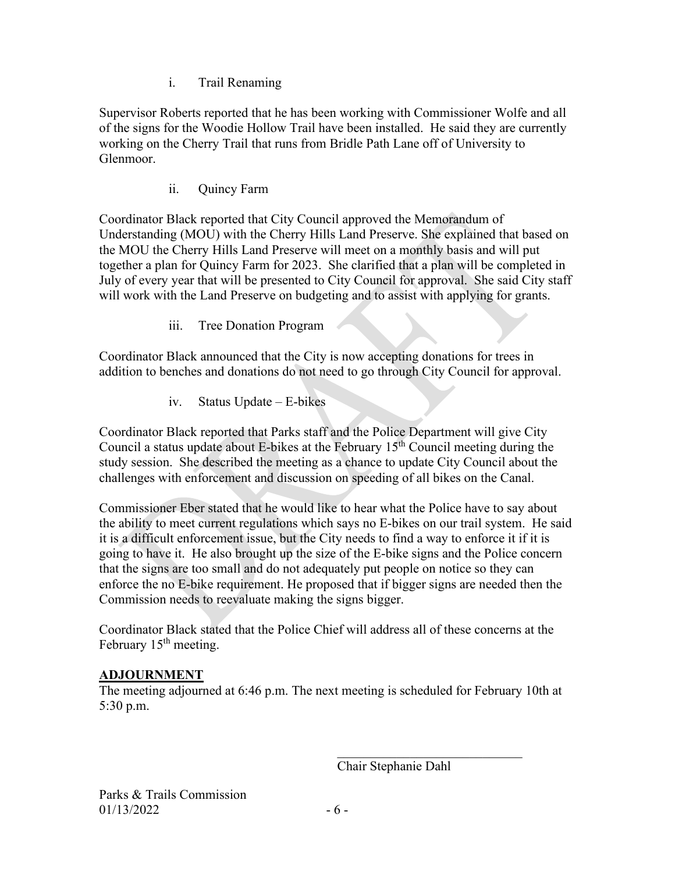i. Trail Renaming

Supervisor Roberts reported that he has been working with Commissioner Wolfe and all of the signs for the Woodie Hollow Trail have been installed. He said they are currently working on the Cherry Trail that runs from Bridle Path Lane off of University to Glenmoor.

ii. Quincy Farm

Coordinator Black reported that City Council approved the Memorandum of Understanding (MOU) with the Cherry Hills Land Preserve. She explained that based on the MOU the Cherry Hills Land Preserve will meet on a monthly basis and will put together a plan for Quincy Farm for 2023. She clarified that a plan will be completed in July of every year that will be presented to City Council for approval. She said City staff will work with the Land Preserve on budgeting and to assist with applying for grants.

iii. Tree Donation Program

Coordinator Black announced that the City is now accepting donations for trees in addition to benches and donations do not need to go through City Council for approval.

iv. Status Update – E-bikes

Coordinator Black reported that Parks staff and the Police Department will give City Council a status update about E-bikes at the February  $15<sup>th</sup>$  Council meeting during the study session. She described the meeting as a chance to update City Council about the challenges with enforcement and discussion on speeding of all bikes on the Canal.

Commissioner Eber stated that he would like to hear what the Police have to say about the ability to meet current regulations which says no E-bikes on our trail system. He said it is a difficult enforcement issue, but the City needs to find a way to enforce it if it is going to have it. He also brought up the size of the E-bike signs and the Police concern that the signs are too small and do not adequately put people on notice so they can enforce the no E-bike requirement. He proposed that if bigger signs are needed then the Commission needs to reevaluate making the signs bigger.

Coordinator Black stated that the Police Chief will address all of these concerns at the February 15<sup>th</sup> meeting.

## **ADJOURNMENT**

The meeting adjourned at 6:46 p.m. The next meeting is scheduled for February 10th at 5:30 p.m.

Chair Stephanie Dahl

 $\mathcal{L}_\mathcal{L}$  , which is a set of the set of the set of the set of the set of the set of the set of the set of the set of the set of the set of the set of the set of the set of the set of the set of the set of the set of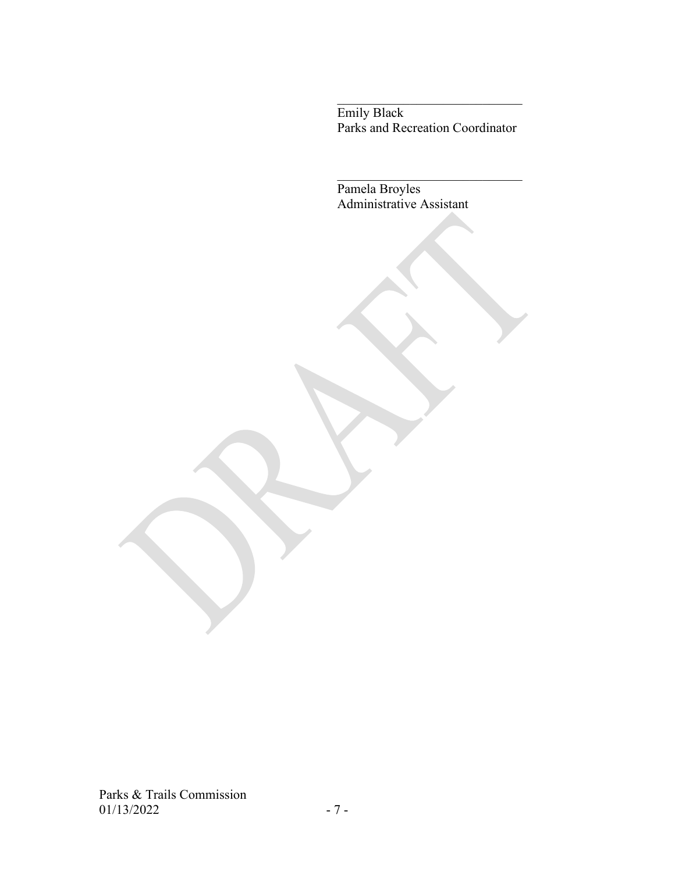Emily Black Parks and Recreation Coordinator

Pamela Broyles Administrative Assistant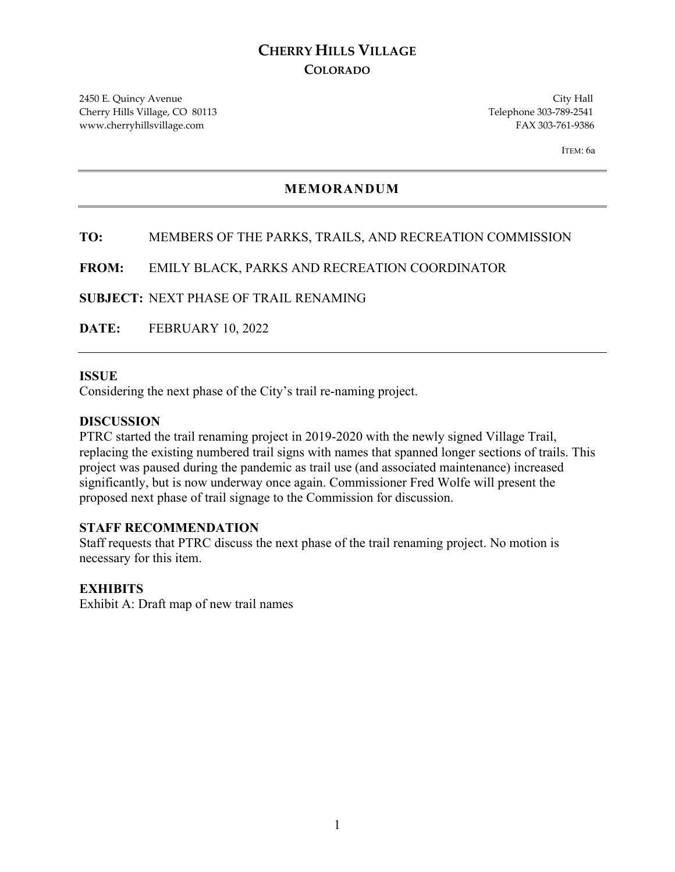# **CHERRY HILLS VILLAGE COLORADO**

2450 E. Quincy Avenue City Hall Cherry Hills Village, CO 80113 Telephone 303-789-2541 www.cherryhillsvillage.com FAX 303-761-9386

ITEM: 6a

## **MEMORANDUM**

## **TO:** MEMBERS OF THE PARKS, TRAILS, AND RECREATION COMMISSION

**FROM:** EMILY BLACK, PARKS AND RECREATION COORDINATOR

**SUBJECT:** NEXT PHASE OF TRAIL RENAMING

**DATE:** FEBRUARY 10, 2022

#### **ISSUE**

Considering the next phase of the City's trail re-naming project.

### **DISCUSSION**

PTRC started the trail renaming project in 2019-2020 with the newly signed Village Trail, replacing the existing numbered trail signs with names that spanned longer sections of trails. This project was paused during the pandemic as trail use (and associated maintenance) increased significantly, but is now underway once again. Commissioner Fred Wolfe will present the proposed next phase of trail signage to the Commission for discussion.

#### **STAFF RECOMMENDATION**

Staff requests that PTRC discuss the next phase of the trail renaming project. No motion is necessary for this item.

### **EXHIBITS**

Exhibit A: Draft map of new trail names